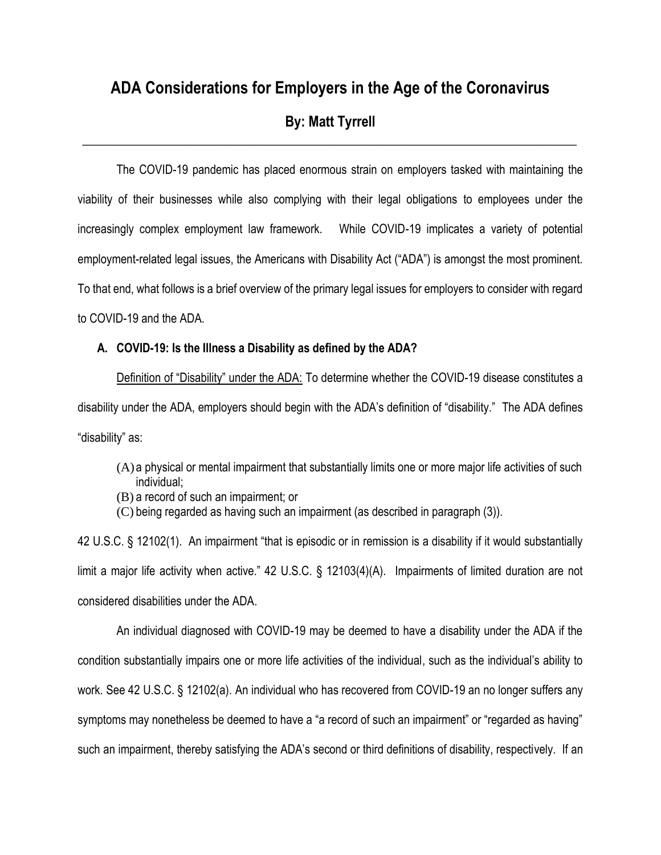# **ADA Considerations for Employers in the Age of the Coronavirus**

# **By: Matt Tyrrell \_\_\_\_\_\_\_\_\_\_\_\_\_\_\_\_\_\_\_\_\_\_\_\_\_\_\_\_\_\_\_\_\_\_\_\_\_\_\_\_\_\_\_\_\_\_\_\_\_\_\_\_\_\_\_\_\_\_\_\_\_\_\_\_\_\_\_\_\_\_\_\_**

The COVID-19 pandemic has placed enormous strain on employers tasked with maintaining the viability of their businesses while also complying with their legal obligations to employees under the increasingly complex employment law framework. While COVID-19 implicates a variety of potential employment-related legal issues, the Americans with Disability Act ("ADA") is amongst the most prominent. To that end, what follows is a brief overview of the primary legal issues for employers to consider with regard to COVID-19 and the ADA.

## **A. COVID-19: Is the Illness a Disability as defined by the ADA?**

Definition of "Disability" under the ADA: To determine whether the COVID-19 disease constitutes a disability under the ADA, employers should begin with the ADA's definition of "disability." The ADA defines "disability" as:

- (A) a physical or mental impairment that substantially limits one or more major life activities of such individual;
- (B) a record of such an impairment; or
- (C) being regarded as having such an impairment (as described in paragraph (3)).

42 U.S.C. § 12102(1). An impairment "that is episodic or in remission is a disability if it would substantially limit a major life activity when active." 42 U.S.C. § 12103(4)(A). Impairments of limited duration are not considered disabilities under the ADA.

An individual diagnosed with COVID-19 may be deemed to have a disability under the ADA if the condition substantially impairs one or more life activities of the individual, such as the individual's ability to work. See 42 U.S.C. § 12102(a). An individual who has recovered from COVID-19 an no longer suffers any symptoms may nonetheless be deemed to have a "a record of such an impairment" or "regarded as having" such an impairment, thereby satisfying the ADA's second or third definitions of disability, respectively. If an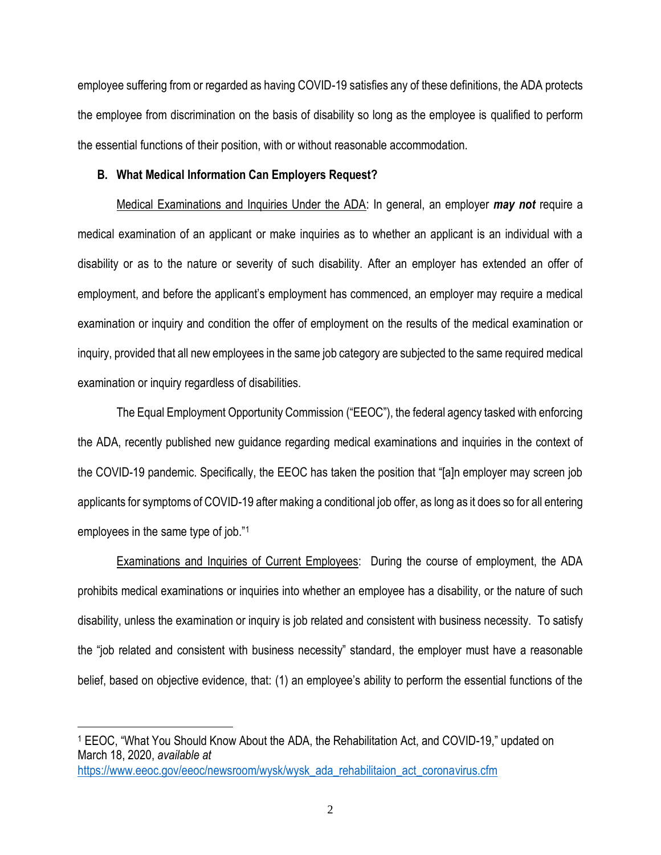employee suffering from or regarded as having COVID-19 satisfies any of these definitions, the ADA protects the employee from discrimination on the basis of disability so long as the employee is qualified to perform the essential functions of their position, with or without reasonable accommodation.

#### **B. What Medical Information Can Employers Request?**

Medical Examinations and Inquiries Under the ADA: In general, an employer *may not* require a medical examination of an applicant or make inquiries as to whether an applicant is an individual with a disability or as to the nature or severity of such disability. After an employer has extended an offer of employment, and before the applicant's employment has commenced, an employer may require a medical examination or inquiry and condition the offer of employment on the results of the medical examination or inquiry, provided that all new employees in the same job category are subjected to the same required medical examination or inquiry regardless of disabilities.

The Equal Employment Opportunity Commission ("EEOC"), the federal agency tasked with enforcing the ADA, recently published new guidance regarding medical examinations and inquiries in the context of the COVID-19 pandemic. Specifically, the EEOC has taken the position that "[a]n employer may screen job applicants for symptoms of COVID-19 after making a conditional job offer, as long as it does so for all entering employees in the same type of job."<sup>1</sup>

Examinations and Inquiries of Current Employees: During the course of employment, the ADA prohibits medical examinations or inquiries into whether an employee has a disability, or the nature of such disability, unless the examination or inquiry is job related and consistent with business necessity. To satisfy the "job related and consistent with business necessity" standard, the employer must have a reasonable belief, based on objective evidence, that: (1) an employee's ability to perform the essential functions of the

<sup>1</sup> EEOC, "What You Should Know About the ADA, the Rehabilitation Act, and COVID-19," updated on March 18, 2020, *available at*

[https://www.eeoc.gov/eeoc/newsroom/wysk/wysk\\_ada\\_rehabilitaion\\_act\\_coronavirus.cfm](https://www.eeoc.gov/eeoc/newsroom/wysk/wysk_ada_rehabilitaion_act_coronavirus.cfm)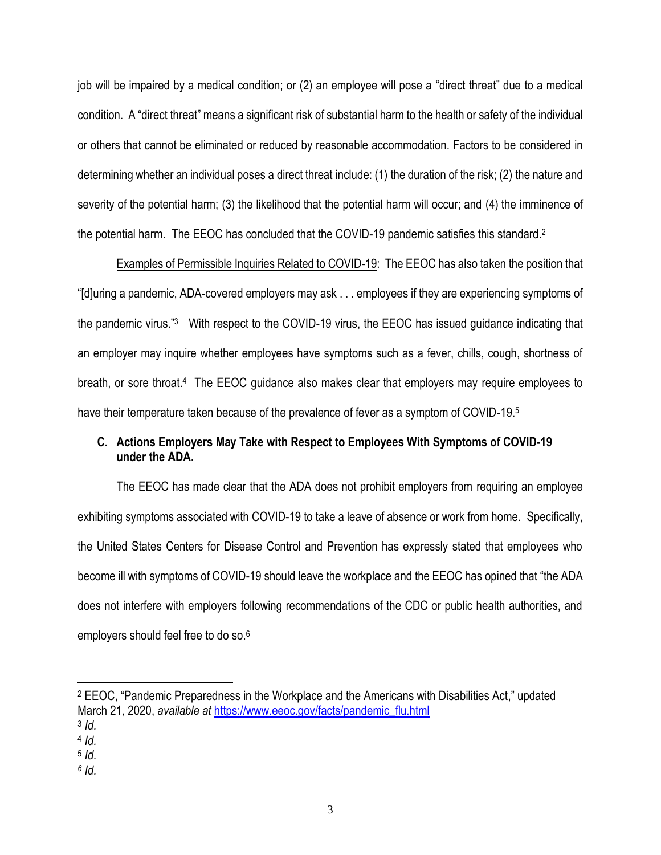job will be impaired by a medical condition; or (2) an employee will pose a "direct threat" due to a medical condition. A "direct threat" means a significant risk of substantial harm to the health or safety of the individual or others that cannot be eliminated or reduced by [reasonable accommodation.](https://www.law.cornell.edu/cfr/text/29/1630.2) Factors to be considered in determining whether an individual poses a direct threat include: (1) the duration of the risk; (2) the nature and severity of the potential harm; (3) the likelihood that the potential harm will occur; and (4) the imminence of the potential harm. The EEOC has concluded that the COVID-19 pandemic satisfies this standard.<sup>2</sup>

Examples of Permissible Inquiries Related to COVID-19: The EEOC has also taken the position that "[d]uring a pandemic, ADA-covered employers may ask . . . employees if they are experiencing symptoms of the pandemic virus."<sup>3</sup> With respect to the COVID-19 virus, the EEOC has issued guidance indicating that an employer may inquire whether employees have symptoms such as a fever, chills, cough, shortness of breath, or sore throat.<sup>4</sup> The EEOC guidance also makes clear that employers may require employees to have their temperature taken because of the prevalence of fever as a symptom of COVID-19.<sup>5</sup>

# **C. Actions Employers May Take with Respect to Employees With Symptoms of COVID-19 under the ADA.**

The EEOC has made clear that the ADA does not prohibit employers from requiring an employee exhibiting symptoms associated with COVID-19 to take a leave of absence or work from home. Specifically, the United States Centers for Disease Control and Prevention has expressly stated that employees who become ill with symptoms of COVID-19 should leave the workplace and the EEOC has opined that "the ADA does not interfere with employers following recommendations of the CDC or public health authorities, and employers should feel free to do so.<sup>6</sup>

<sup>2</sup> EEOC, "Pandemic Preparedness in the Workplace and the Americans with Disabilities Act," updated March 21, 2020, *available at* [https://www.eeoc.gov/facts/pandemic\\_flu.html](https://www.eeoc.gov/facts/pandemic_flu.html)

<sup>3</sup> *Id.* 

<sup>4</sup> *Id.*

<sup>5</sup> *Id.*

*<sup>6</sup> Id.*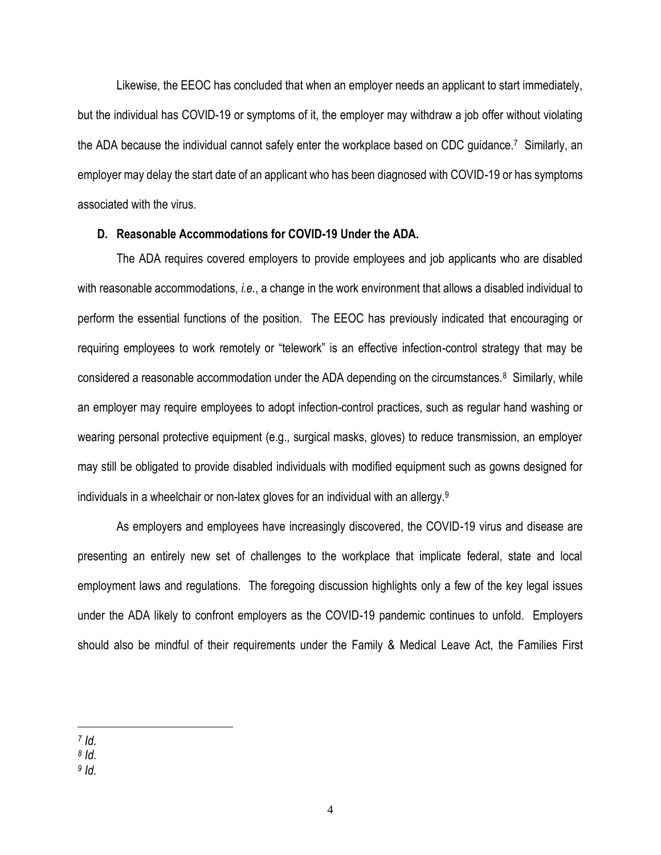Likewise, the EEOC has concluded that when an employer needs an applicant to start immediately, but the individual has COVID-19 or symptoms of it, the employer may withdraw a job offer without violating the ADA because the individual cannot safely enter the workplace based on CDC guidance.<sup>7</sup> Similarly, an employer may delay the start date of an applicant who has been diagnosed with COVID-19 or has symptoms associated with the virus.

## **D. Reasonable Accommodations for COVID-19 Under the ADA.**

The ADA requires covered employers to provide employees and job applicants who are disabled with reasonable accommodations, *i.e.*, a change in the work environment that allows a disabled individual to perform the essential functions of the position. The EEOC has previously indicated that encouraging or requiring employees to work remotely or "telework" is an effective infection-control strategy that may be considered a reasonable accommodation under the ADA depending on the circumstances.<sup>8</sup> Similarly, while an employer may require employees to adopt infection-control practices, such as regular hand washing or wearing personal protective equipment (e.g., surgical masks, gloves) to reduce transmission, an employer may still be obligated to provide disabled individuals with modified equipment such as gowns designed for individuals in a wheelchair or non-latex gloves for an individual with an allergy. 9

As employers and employees have increasingly discovered, the COVID-19 virus and disease are presenting an entirely new set of challenges to the workplace that implicate federal, state and local employment laws and regulations. The foregoing discussion highlights only a few of the key legal issues under the ADA likely to confront employers as the COVID-19 pandemic continues to unfold. Employers should also be mindful of their requirements under the Family & Medical Leave Act, the Families First

*9 Id.*

*<sup>7</sup> Id.*

*<sup>8</sup> Id.*